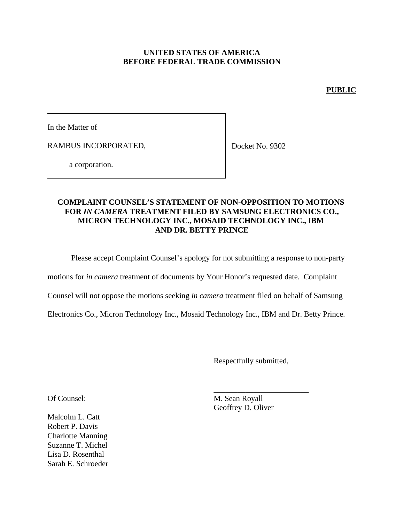## **UNITED STATES OF AMERICA BEFORE FEDERAL TRADE COMMISSION**

## **PUBLIC**

In the Matter of

RAMBUS INCORPORATED,

Docket No. 9302

a corporation.

## **COMPLAINT COUNSEL'S STATEMENT OF NON-OPPOSITION TO MOTIONS FOR** *IN CAMERA* **TREATMENT FILED BY SAMSUNG ELECTRONICS CO., MICRON TECHNOLOGY INC., MOSAID TECHNOLOGY INC., IBM AND DR. BETTY PRINCE**

Please accept Complaint Counsel's apology for not submitting a response to non-party

motions for *in camera* treatment of documents by Your Honor's requested date. Complaint

Counsel will not oppose the motions seeking *in camera* treatment filed on behalf of Samsung

Electronics Co., Micron Technology Inc., Mosaid Technology Inc., IBM and Dr. Betty Prince.

Respectfully submitted,

\_\_\_\_\_\_\_\_\_\_\_\_\_\_\_\_\_\_\_\_\_\_\_\_

Of Counsel: M. Sean Royall Geoffrey D. Oliver

Malcolm L. Catt Robert P. Davis Charlotte Manning Suzanne T. Michel Lisa D. Rosenthal Sarah E. Schroeder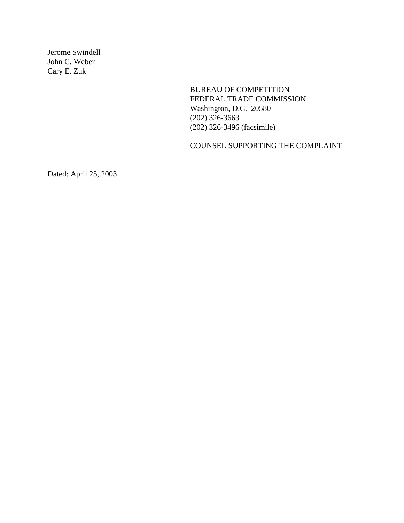Jerome Swindell John C. Weber Cary E. Zuk

> BUREAU OF COMPETITION FEDERAL TRADE COMMISSION Washington, D.C. 20580 (202) 326-3663 (202) 326-3496 (facsimile)

COUNSEL SUPPORTING THE COMPLAINT

Dated: April 25, 2003